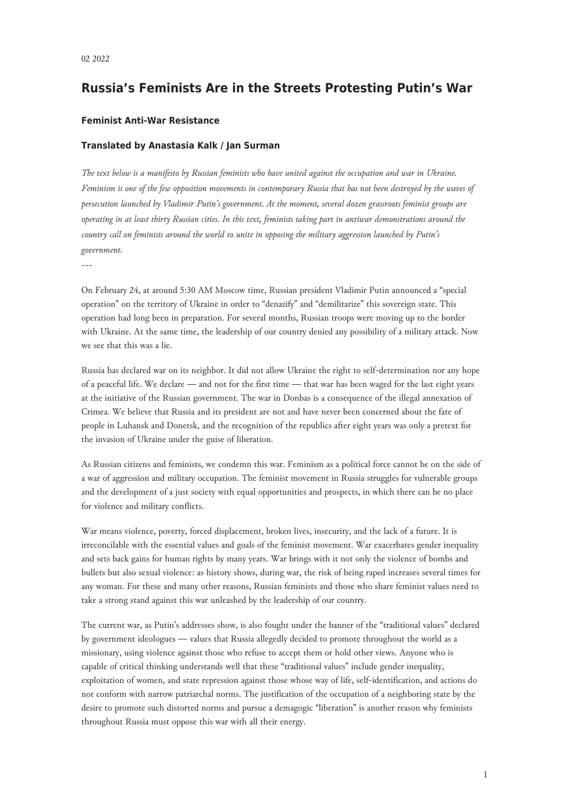## **Russia's Feminists Are in the Streets Protesting Putin's War**

## **Feminist Anti-War Resistance**

## **Translated by Anastasia Kalk / Jan Surman**

*The text below is a manifesto by Russian feminists who have united against the occupation and war in Ukraine. Feminism is one of the few opposition movements in contemporary Russia that has not been destroyed by the waves of persecution launched by Vladimir Putin's government. At the moment, several dozen grassroots feminist groups are operating in at least thirty Russian cities. In this text, feminists taking part in antiwar demonstrations around the country call on feminists around the world to unite in opposing the military aggression launched by Putin's government.*

---

On February 24, at around 5:30 AM Moscow time, Russian president Vladimir Putin announced a "special operation" on the territory of Ukraine in order to "denazify" and "demilitarize" this sovereign state. This operation had long been in preparation. For several months, Russian troops were moving up to the border with Ukraine. At the same time, the leadership of our country denied any possibility of a military attack. Now we see that this was a lie.

Russia has declared war on its neighbor. It did not allow Ukraine the right to self-determination nor any hope of a peaceful life. We declare — and not for the first time — that war has been waged for the last eight years at the initiative of the Russian government. The war in Donbas is a consequence of the illegal annexation of Crimea. We believe that Russia and its president are not and have never been concerned about the fate of people in Luhansk and Donetsk, and the recognition of the republics after eight years was only a pretext for the invasion of Ukraine under the guise of liberation.

As Russian citizens and feminists, we condemn this war. Feminism as a political force cannot be on the side of a war of aggression and military occupation. The feminist movement in Russia struggles for vulnerable groups and the development of a just society with equal opportunities and prospects, in which there can be no place for violence and military conflicts.

War means violence, poverty, forced displacement, broken lives, insecurity, and the lack of a future. It is irreconcilable with the essential values and goals of the feminist movement. War exacerbates gender inequality and sets back gains for human rights by many years. War brings with it not only the violence of bombs and bullets but also sexual violence: as history shows, during war, the risk of being raped increases several times for any woman. For these and many other reasons, Russian feminists and those who share feminist values need to take a strong stand against this war unleashed by the leadership of our country.

The current war, as Putin's addresses show, is also fought under the banner of the "traditional values" declared by government ideologues — values that Russia allegedly decided to promote throughout the world as a missionary, using violence against those who refuse to accept them or hold other views. Anyone who is capable of critical thinking understands well that these "traditional values" include gender inequality, exploitation of women, and state repression against those whose way of life, self-identification, and actions do not conform with narrow patriarchal norms. The justification of the occupation of a neighboring state by the desire to promote such distorted norms and pursue a demagogic "liberation" is another reason why feminists throughout Russia must oppose this war with all their energy.